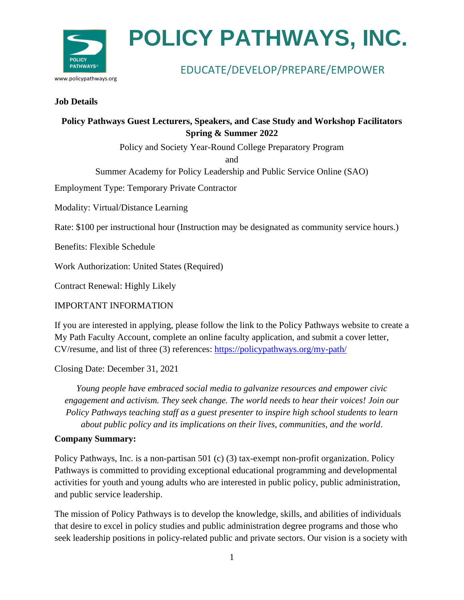

### EDUCATE/DEVELOP/PREPARE/EMPOWER

#### **Job Details**

### **Policy Pathways Guest Lecturers, Speakers, and Case Study and Workshop Facilitators Spring & Summer 2022**

Policy and Society Year-Round College Preparatory Program

and

Summer Academy for Policy Leadership and Public Service Online (SAO)

Employment Type: Temporary Private Contractor

Modality: Virtual/Distance Learning

Rate: \$100 per instructional hour (Instruction may be designated as community service hours.)

Benefits: Flexible Schedule

Work Authorization: United States (Required)

Contract Renewal: Highly Likely

#### IMPORTANT INFORMATION

If you are interested in applying, please follow the link to the Policy Pathways website to create a My Path Faculty Account, complete an online faculty application, and submit a cover letter, CV/resume, and list of three (3) references:<https://policypathways.org/my-path/>

Closing Date: December 31, 2021

*Young people have embraced social media to galvanize resources and empower civic engagement and activism. They seek change. The world needs to hear their voices! Join our Policy Pathways teaching staff as a guest presenter to inspire high school students to learn about public policy and its implications on their lives, communities, and the world*.

### **Company Summary:**

Policy Pathways, Inc. is a non-partisan 501 (c) (3) tax-exempt non-profit organization. Policy Pathways is committed to providing exceptional educational programming and developmental activities for youth and young adults who are interested in public policy, public administration, and public service leadership.

The mission of Policy Pathways is to develop the knowledge, skills, and abilities of individuals that desire to excel in policy studies and public administration degree programs and those who seek leadership positions in policy-related public and private sectors. Our vision is a society with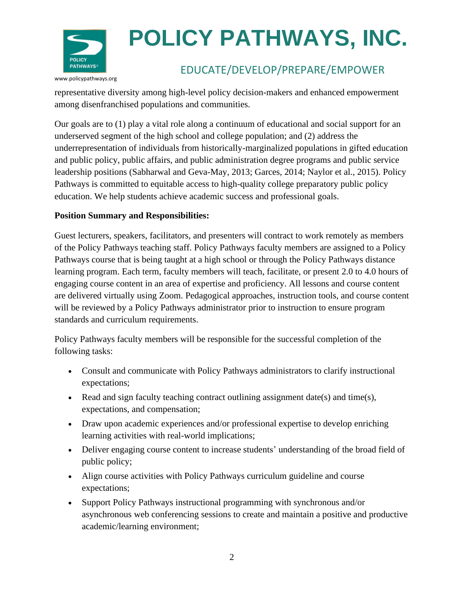

### www.policypathways.org

### EDUCATE/DEVELOP/PREPARE/EMPOWER

representative diversity among high-level policy decision-makers and enhanced empowerment among disenfranchised populations and communities.

Our goals are to (1) play a vital role along a continuum of educational and social support for an underserved segment of the high school and college population; and (2) address the underrepresentation of individuals from historically-marginalized populations in gifted education and public policy, public affairs, and public administration degree programs and public service leadership positions (Sabharwal and Geva-May, 2013; Garces, 2014; Naylor et al., 2015). Policy Pathways is committed to equitable access to high-quality college preparatory public policy education. We help students achieve academic success and professional goals.

### **Position Summary and Responsibilities:**

Guest lecturers, speakers, facilitators, and presenters will contract to work remotely as members of the Policy Pathways teaching staff. Policy Pathways faculty members are assigned to a Policy Pathways course that is being taught at a high school or through the Policy Pathways distance learning program. Each term, faculty members will teach, facilitate, or present 2.0 to 4.0 hours of engaging course content in an area of expertise and proficiency. All lessons and course content are delivered virtually using Zoom. Pedagogical approaches, instruction tools, and course content will be reviewed by a Policy Pathways administrator prior to instruction to ensure program standards and curriculum requirements.

Policy Pathways faculty members will be responsible for the successful completion of the following tasks:

- Consult and communicate with Policy Pathways administrators to clarify instructional expectations;
- Read and sign faculty teaching contract outlining assignment date(s) and time(s), expectations, and compensation;
- Draw upon academic experiences and/or professional expertise to develop enriching learning activities with real-world implications;
- Deliver engaging course content to increase students' understanding of the broad field of public policy;
- Align course activities with Policy Pathways curriculum guideline and course expectations;
- Support Policy Pathways instructional programming with synchronous and/or asynchronous web conferencing sessions to create and maintain a positive and productive academic/learning environment;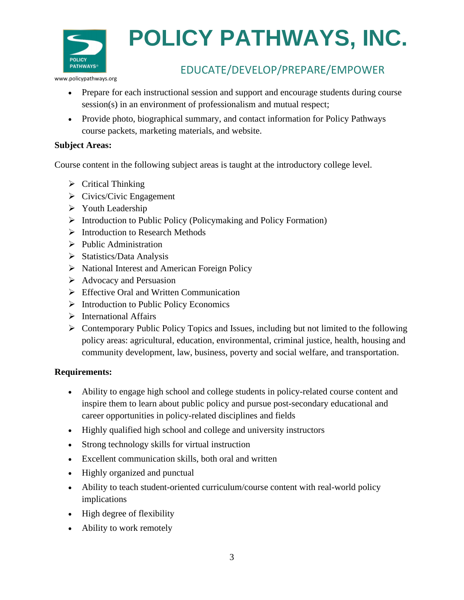

EDUCATE/DEVELOP/PREPARE/EMPOWER

www.policypathways.org

- Prepare for each instructional session and support and encourage students during course session(s) in an environment of professionalism and mutual respect;
- Provide photo, biographical summary, and contact information for Policy Pathways course packets, marketing materials, and website.

### **Subject Areas:**

Course content in the following subject areas is taught at the introductory college level.

- $\triangleright$  Critical Thinking
- $\triangleright$  Civics/Civic Engagement
- ➢ Youth Leadership
- ➢ Introduction to Public Policy (Policymaking and Policy Formation)
- ➢ Introduction to Research Methods
- $\triangleright$  Public Administration
- ➢ Statistics/Data Analysis
- ➢ National Interest and American Foreign Policy
- ➢ Advocacy and Persuasion
- ➢ Effective Oral and Written Communication
- ➢ Introduction to Public Policy Economics
- ➢ International Affairs
- ➢ Contemporary Public Policy Topics and Issues, including but not limited to the following policy areas: agricultural, education, environmental, criminal justice, health, housing and community development, law, business, poverty and social welfare, and transportation.

### **Requirements:**

- Ability to engage high school and college students in policy-related course content and inspire them to learn about public policy and pursue post-secondary educational and career opportunities in policy-related disciplines and fields
- Highly qualified high school and college and university instructors
- Strong technology skills for virtual instruction
- Excellent communication skills, both oral and written
- Highly organized and punctual
- Ability to teach student-oriented curriculum/course content with real-world policy implications
- High degree of flexibility
- Ability to work remotely